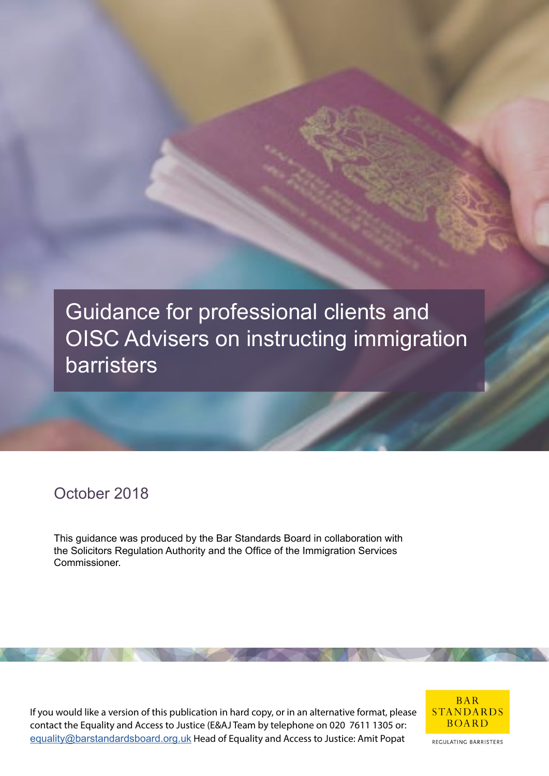

# October 2018

This guidance was produced by the Bar Standards Board in collaboration with the Solicitors Regulation Authority and the Office of the Immigration Services Commissioner.

If you would like a version of this publication in hard copy, or in an alternative format, please contact the Equality and Access to Justice (E&AJ Team by telephone on 020 7611 1305 or: [equality@barstandardsboard.org.uk](mailto:equality%40barstandardsboard.org.uk%20?subject=) Head of Equality and Access to Justice: Amit Popat



REGULATING BARRISTERS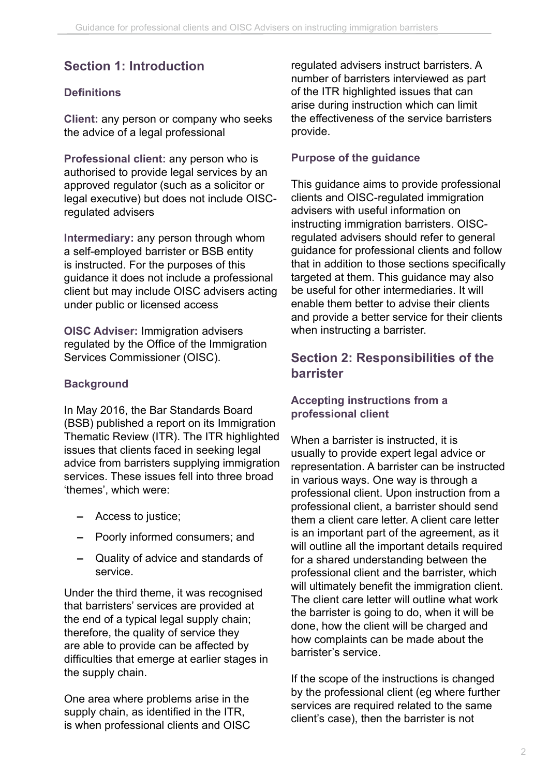# **Section 1: Introduction**

### **Definitions**

**Client:** any person or company who seeks the advice of a legal professional

**Professional client:** any person who is authorised to provide legal services by an approved regulator (such as a solicitor or legal executive) but does not include OISCregulated advisers

**Intermediary:** any person through whom a self-employed barrister or BSB entity is instructed. For the purposes of this guidance it does not include a professional client but may include OISC advisers acting under public or licensed access

**OISC Adviser:** Immigration advisers regulated by the Office of the Immigration Services Commissioner (OISC).

### **Background**

In May 2016, the Bar Standards Board (BSB) published a report on its Immigration Thematic Review (ITR). The ITR highlighted issues that clients faced in seeking legal advice from barristers supplying immigration services. These issues fell into three broad. 'themes', which were:

- **–** Access to justice;
- **–** Poorly informed consumers; and
- **–** Quality of advice and standards of service.

Under the third theme, it was recognised that barristers' services are provided at the end of a typical legal supply chain; therefore, the quality of service they are able to provide can be affected by difficulties that emerge at earlier stages in the supply chain.

One area where problems arise in the supply chain, as identified in the ITR, is when professional clients and OISC regulated advisers instruct barristers. A number of barristers interviewed as part of the ITR highlighted issues that can arise during instruction which can limit the effectiveness of the service barristers provide.

#### **Purpose of the guidance**

This guidance aims to provide professional clients and OISC-regulated immigration advisers with useful information on instructing immigration barristers. OISCregulated advisers should refer to general guidance for professional clients and follow that in addition to those sections specifically targeted at them. This guidance may also be useful for other intermediaries. It will enable them better to advise their clients and provide a better service for their clients when instructing a barrister.

## **Section 2: Responsibilities of the barrister**

#### **Accepting instructions from a professional client**

When a barrister is instructed, it is usually to provide expert legal advice or representation. A barrister can be instructed in various ways. One way is through a professional client. Upon instruction from a professional client, a barrister should send them a client care letter. A client care letter is an important part of the agreement, as it will outline all the important details required for a shared understanding between the professional client and the barrister, which will ultimately benefit the immigration client. The client care letter will outline what work the barrister is going to do, when it will be done, how the client will be charged and how complaints can be made about the barrister's service.

If the scope of the instructions is changed by the professional client (eg where further services are required related to the same client's case), then the barrister is not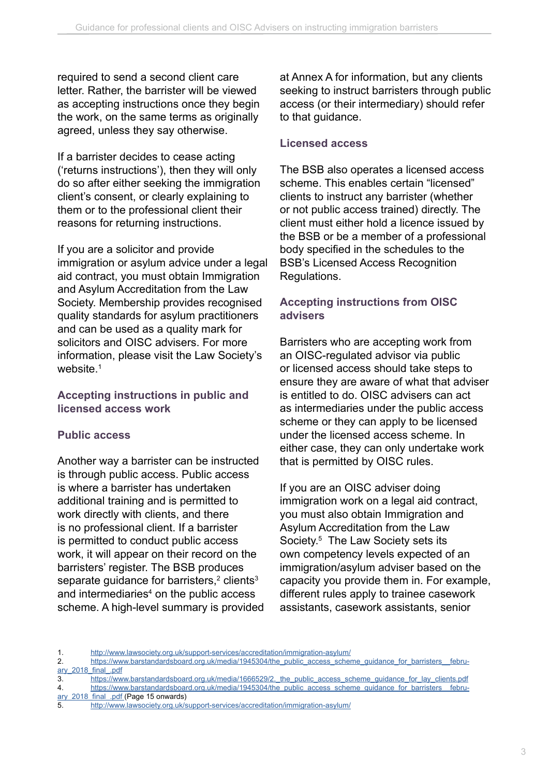required to send a second client care letter. Rather, the barrister will be viewed as accepting instructions once they begin the work, on the same terms as originally agreed, unless they say otherwise.

If a barrister decides to cease acting ('returns instructions'), then they will only do so after either seeking the immigration client's consent, or clearly explaining to them or to the professional client their reasons for returning instructions.

If you are a solicitor and provide immigration or asylum advice under a legal aid contract, you must obtain Immigration and Asylum Accreditation from the Law Society. Membership provides recognised quality standards for asylum practitioners and can be used as a quality mark for solicitors and OISC advisers. For more information, please visit the Law Society's website.<sup>1</sup>

#### **Accepting instructions in public and licensed access work**

### **Public access**

Another way a barrister can be instructed is through public access. Public access is where a barrister has undertaken additional training and is permitted to work directly with clients, and there is no professional client. If a barrister is permitted to conduct public access work, it will appear on their record on the barristers' register. The BSB produces separate guidance for barristers,<sup>2</sup> clients<sup>3</sup> and intermediaries<sup>4</sup> on the public access scheme. A high-level summary is provided at Annex A for information, but any clients seeking to instruct barristers through public access (or their intermediary) should refer to that guidance.

#### **Licensed access**

The BSB also operates a licensed access scheme. This enables certain "licensed" clients to instruct any barrister (whether or not public access trained) directly. The client must either hold a licence issued by the BSB or be a member of a professional body specified in the schedules to the BSB's Licensed Access Recognition Regulations.

### **Accepting instructions from OISC advisers**

Barristers who are accepting work from an OISC-regulated advisor via public or licensed access should take steps to ensure they are aware of what that adviser is entitled to do. OISC advisers can act as intermediaries under the public access scheme or they can apply to be licensed under the licensed access scheme. In either case, they can only undertake work that is permitted by OISC rules.

If you are an OISC adviser doing immigration work on a legal aid contract, you must also obtain Immigration and Asylum Accreditation from the Law Society.<sup>5</sup> The Law Society sets its own competency levels expected of an immigration/asylum adviser based on the capacity you provide them in. For example, different rules apply to trainee casework assistants, casework assistants, senior

<sup>1.</sup> <http://www.lawsociety.org.uk/support-services/accreditation/immigration-asylum/>

<sup>2.</sup> https://www.barstandardsboard.org.uk/media/1945304/the\_public\_access\_scheme\_guidance\_for\_barristers ary 2018 final .pdf

<sup>3.</sup> [https://www.barstandardsboard.org.uk/media/1666529/2.\\_the\\_public\\_access\\_scheme\\_guidance\\_for\\_lay\\_clients.pdf](https://www.barstandardsboard.org.uk/media/1666529/2._the_public_access_scheme_guidance_for_lay_clients.pdf)

<sup>4.</sup> https://www.barstandardsboard.org.uk/media/1945304/the\_public\_access\_scheme\_guidance\_for\_barristers\_febru[ary\\_2018\\_final\\_.pdf](https://www.barstandardsboard.org.uk/media/1945304/the_public_access_scheme_guidance_for_barristers__february_2018_final_.pdf ) (Page 15 onwards)

<sup>5.</sup> <http://www.lawsociety.org.uk/support-services/accreditation/immigration-asylum/>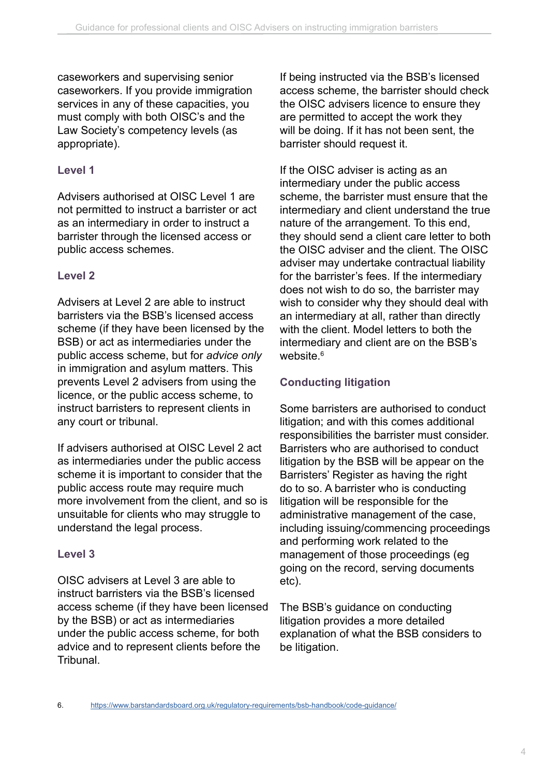caseworkers and supervising senior caseworkers. If you provide immigration services in any of these capacities, you must comply with both OISC's and the Law Society's competency levels (as appropriate).

### **Level 1**

Advisers authorised at OISC Level 1 are not permitted to instruct a barrister or act as an intermediary in order to instruct a barrister through the licensed access or public access schemes.

### **Level 2**

Advisers at Level 2 are able to instruct barristers via the BSB's licensed access scheme (if they have been licensed by the BSB) or act as intermediaries under the public access scheme, but for *advice only* in immigration and asylum matters. This prevents Level 2 advisers from using the licence, or the public access scheme, to instruct barristers to represent clients in any court or tribunal.

If advisers authorised at OISC Level 2 act as intermediaries under the public access scheme it is important to consider that the public access route may require much more involvement from the client, and so is unsuitable for clients who may struggle to understand the legal process.

### **Level 3**

OISC advisers at Level 3 are able to instruct barristers via the BSB's licensed access scheme (if they have been licensed by the BSB) or act as intermediaries under the public access scheme, for both advice and to represent clients before the Tribunal.

If being instructed via the BSB's licensed access scheme, the barrister should check the OISC advisers licence to ensure they are permitted to accept the work they will be doing. If it has not been sent, the barrister should request it.

If the OISC adviser is acting as an intermediary under the public access scheme, the barrister must ensure that the intermediary and client understand the true nature of the arrangement. To this end, they should send a client care letter to both the OISC adviser and the client. The OISC adviser may undertake contractual liability for the barrister's fees. If the intermediary does not wish to do so, the barrister may wish to consider why they should deal with an intermediary at all, rather than directly with the client. Model letters to both the intermediary and client are on the BSB's website.<sup>6</sup>

# **Conducting litigation**

Some barristers are authorised to conduct litigation; and with this comes additional responsibilities the barrister must consider. Barristers who are authorised to conduct litigation by the BSB will be appear on the Barristers' Register as having the right do to so. A barrister who is conducting litigation will be responsible for the administrative management of the case, including issuing/commencing proceedings and performing work related to the management of those proceedings (eg going on the record, serving documents etc).

The BSB's guidance on conducting litigation provides a more detailed explanation of what the BSB considers to be litigation.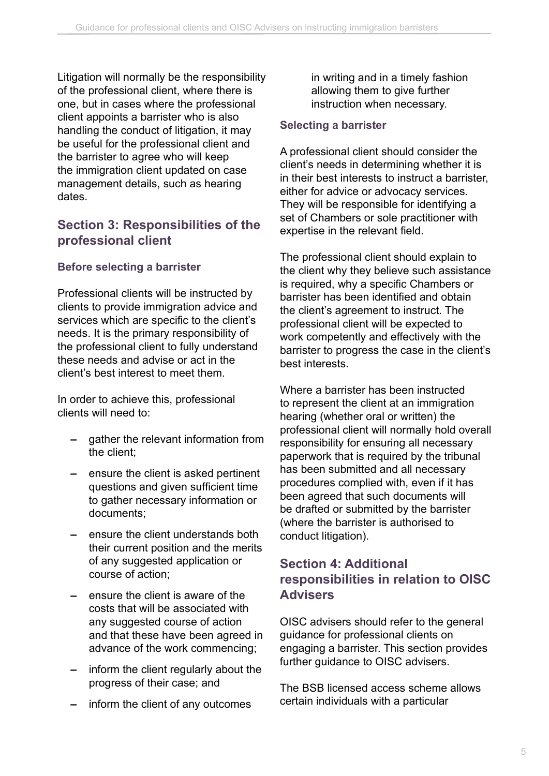Litigation will normally be the responsibility of the professional client, where there is one, but in cases where the professional client appoints a barrister who is also handling the conduct of litigation, it may be useful for the professional client and the barrister to agree who will keep the immigration client updated on case management details, such as hearing dates.

# **Section 3: Responsibilities of the professional client**

## **Before selecting a barrister**

Professional clients will be instructed by clients to provide immigration advice and services which are specific to the client's needs. It is the primary responsibility of the professional client to fully understand these needs and advise or act in the client's best interest to meet them.

In order to achieve this, professional clients will need to:

- **–** gather the relevant information from the client;
- **–** ensure the client is asked pertinent questions and given sufficient time to gather necessary information or documents;
- **–** ensure the client understands both their current position and the merits of any suggested application or course of action;
- **–** ensure the client is aware of the costs that will be associated with any suggested course of action and that these have been agreed in advance of the work commencing;
- **–** inform the client regularly about the progress of their case; and
- **–** inform the client of any outcomes

in writing and in a timely fashion allowing them to give further instruction when necessary.

### **Selecting a barrister**

A professional client should consider the client's needs in determining whether it is in their best interests to instruct a barrister, either for advice or advocacy services. They will be responsible for identifying a set of Chambers or sole practitioner with expertise in the relevant field.

The professional client should explain to the client why they believe such assistance is required, why a specific Chambers or barrister has been identified and obtain the client's agreement to instruct. The professional client will be expected to work competently and effectively with the barrister to progress the case in the client's best interests.

Where a barrister has been instructed to represent the client at an immigration hearing (whether oral or written) the professional client will normally hold overall responsibility for ensuring all necessary paperwork that is required by the tribunal has been submitted and all necessary procedures complied with, even if it has been agreed that such documents will be drafted or submitted by the barrister (where the barrister is authorised to conduct litigation).

# **Section 4: Additional responsibilities in relation to OISC Advisers**

OISC advisers should refer to the general guidance for professional clients on engaging a barrister. This section provides further guidance to OISC advisers.

The BSB licensed access scheme allows certain individuals with a particular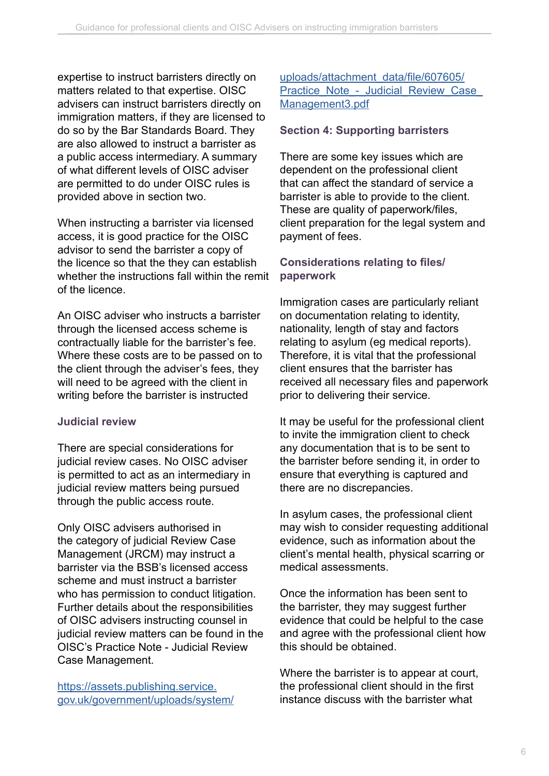expertise to instruct barristers directly on matters related to that expertise. OISC advisers can instruct barristers directly on immigration matters, if they are licensed to do so by the Bar Standards Board. They are also allowed to instruct a barrister as a public access intermediary. A summary of what different levels of OISC adviser are permitted to do under OISC rules is provided above in section two.

When instructing a barrister via licensed access, it is good practice for the OISC advisor to send the barrister a copy of the licence so that the they can establish whether the instructions fall within the remit of the licence.

An OISC adviser who instructs a barrister through the licensed access scheme is contractually liable for the barrister's fee. Where these costs are to be passed on to the client through the adviser's fees, they will need to be agreed with the client in writing before the barrister is instructed

### **Judicial review**

There are special considerations for judicial review cases. No OISC adviser is permitted to act as an intermediary in judicial review matters being pursued through the public access route.

Only OISC advisers authorised in the category of judicial Review Case Management (JRCM) may instruct a barrister via the BSB's licensed access scheme and must instruct a barrister who has permission to conduct litigation. Further details about the responsibilities of OISC advisers instructing counsel in judicial review matters can be found in the OISC's Practice Note - Judicial Review Case Management.

[https://assets.publishing.service.](https://assets.publishing.service.gov.uk/government/uploads/system/uploads/attachment_data/file/607605/Practice_Note_-_Judicial_Review_Case_Management3.pdf ) [gov.uk/government/uploads/system/](https://assets.publishing.service.gov.uk/government/uploads/system/uploads/attachment_data/file/607605/Practice_Note_-_Judicial_Review_Case_Management3.pdf ) [uploads/attachment\\_data/file/607605/](https://assets.publishing.service.gov.uk/government/uploads/system/uploads/attachment_data/file/607605/Practice_Note_-_Judicial_Review_Case_Management3.pdf ) Practice\_Note\_-\_Judicial\_Review\_Case [Management3.pdf](https://assets.publishing.service.gov.uk/government/uploads/system/uploads/attachment_data/file/607605/Practice_Note_-_Judicial_Review_Case_Management3.pdf )

### **Section 4: Supporting barristers**

There are some key issues which are dependent on the professional client that can affect the standard of service a barrister is able to provide to the client. These are quality of paperwork/files, client preparation for the legal system and payment of fees.

### **Considerations relating to files/ paperwork**

Immigration cases are particularly reliant on documentation relating to identity, nationality, length of stay and factors relating to asylum (eg medical reports). Therefore, it is vital that the professional client ensures that the barrister has received all necessary files and paperwork prior to delivering their service.

It may be useful for the professional client to invite the immigration client to check any documentation that is to be sent to the barrister before sending it, in order to ensure that everything is captured and there are no discrepancies.

In asylum cases, the professional client may wish to consider requesting additional evidence, such as information about the client's mental health, physical scarring or medical assessments.

Once the information has been sent to the barrister, they may suggest further evidence that could be helpful to the case and agree with the professional client how this should be obtained.

Where the barrister is to appear at court, the professional client should in the first instance discuss with the barrister what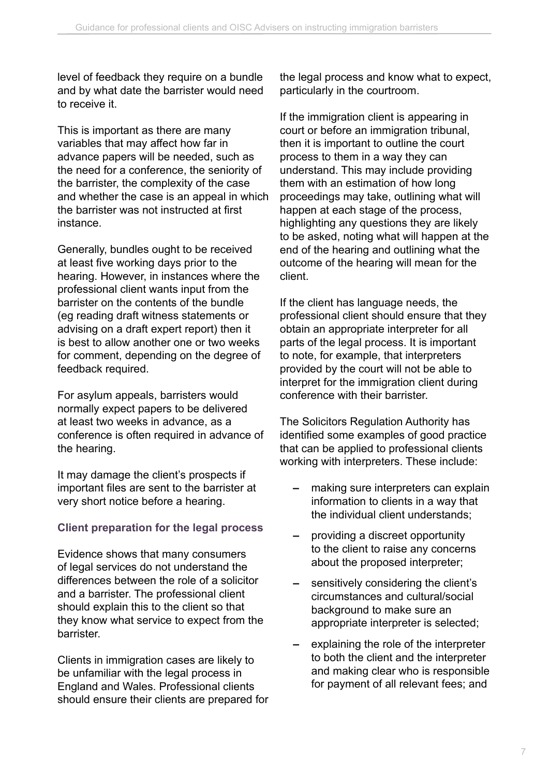level of feedback they require on a bundle and by what date the barrister would need to receive it.

This is important as there are many variables that may affect how far in advance papers will be needed, such as the need for a conference, the seniority of the barrister, the complexity of the case and whether the case is an appeal in which the barrister was not instructed at first instance.

Generally, bundles ought to be received at least five working days prior to the hearing. However, in instances where the professional client wants input from the barrister on the contents of the bundle (eg reading draft witness statements or advising on a draft expert report) then it is best to allow another one or two weeks for comment, depending on the degree of feedback required.

For asylum appeals, barristers would normally expect papers to be delivered at least two weeks in advance, as a conference is often required in advance of the hearing.

It may damage the client's prospects if important files are sent to the barrister at very short notice before a hearing.

### **Client preparation for the legal process**

Evidence shows that many consumers of legal services do not understand the differences between the role of a solicitor and a barrister. The professional client should explain this to the client so that they know what service to expect from the barrister.

Clients in immigration cases are likely to be unfamiliar with the legal process in England and Wales. Professional clients should ensure their clients are prepared for the legal process and know what to expect, particularly in the courtroom.

If the immigration client is appearing in court or before an immigration tribunal, then it is important to outline the court process to them in a way they can understand. This may include providing them with an estimation of how long proceedings may take, outlining what will happen at each stage of the process, highlighting any questions they are likely to be asked, noting what will happen at the end of the hearing and outlining what the outcome of the hearing will mean for the client.

If the client has language needs, the professional client should ensure that they obtain an appropriate interpreter for all parts of the legal process. It is important to note, for example, that interpreters provided by the court will not be able to interpret for the immigration client during conference with their barrister.

The Solicitors Regulation Authority has identified some examples of good practice that can be applied to professional clients working with interpreters. These include:

- **–** making sure interpreters can explain information to clients in a way that the individual client understands;
- **–** providing a discreet opportunity to the client to raise any concerns about the proposed interpreter;
- **–** sensitively considering the client's circumstances and cultural/social background to make sure an appropriate interpreter is selected;
- **–** explaining the role of the interpreter to both the client and the interpreter and making clear who is responsible for payment of all relevant fees; and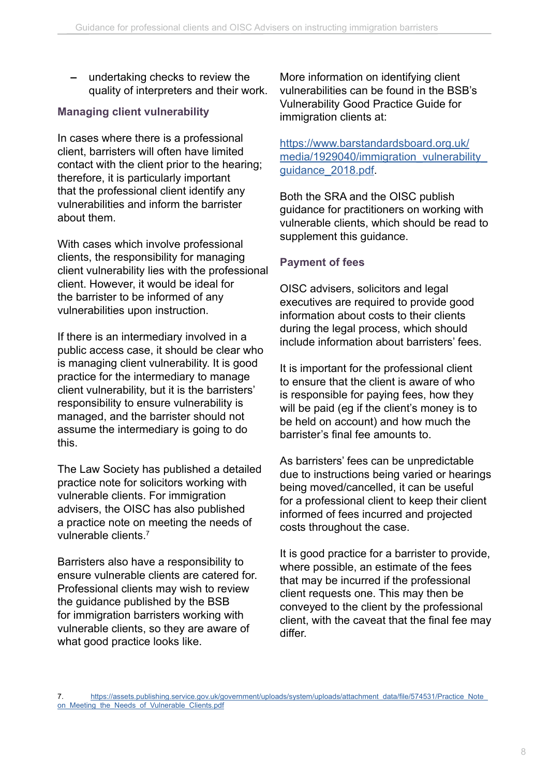**–** undertaking checks to review the quality of interpreters and their work.

### **Managing client vulnerability**

In cases where there is a professional client, barristers will often have limited contact with the client prior to the hearing; therefore, it is particularly important that the professional client identify any vulnerabilities and inform the barrister about them.

With cases which involve professional clients, the responsibility for managing client vulnerability lies with the professional client. However, it would be ideal for the barrister to be informed of any vulnerabilities upon instruction.

If there is an intermediary involved in a public access case, it should be clear who is managing client vulnerability. It is good practice for the intermediary to manage client vulnerability, but it is the barristers' responsibility to ensure vulnerability is managed, and the barrister should not assume the intermediary is going to do this.

The Law Society has published a detailed practice note for solicitors working with vulnerable clients. For immigration advisers, the OISC has also published a practice note on meeting the needs of vulnerable clients.<sup>7</sup>

Barristers also have a responsibility to ensure vulnerable clients are catered for. Professional clients may wish to review the guidance published by the BSB for immigration barristers working with vulnerable clients, so they are aware of what good practice looks like.

More information on identifying client vulnerabilities can be found in the BSB's Vulnerability Good Practice Guide for immigration clients at:

### [https://www.barstandardsboard.org.uk/](https://www.barstandardsboard.org.uk/media/1929040/immigration_vulnerability_guidance_2018.pdf) media/1929040/immigration\_vulnerability [guidance\\_2018.pdf.](https://www.barstandardsboard.org.uk/media/1929040/immigration_vulnerability_guidance_2018.pdf)

Both the SRA and the OISC publish guidance for practitioners on working with vulnerable clients, which should be read to supplement this guidance.

### **Payment of fees**

OISC advisers, solicitors and legal executives are required to provide good information about costs to their clients during the legal process, which should include information about barristers' fees.

It is important for the professional client to ensure that the client is aware of who is responsible for paying fees, how they will be paid (eg if the client's money is to be held on account) and how much the barrister's final fee amounts to.

As barristers' fees can be unpredictable due to instructions being varied or hearings being moved/cancelled, it can be useful for a professional client to keep their client informed of fees incurred and projected costs throughout the case.

It is good practice for a barrister to provide, where possible, an estimate of the fees that may be incurred if the professional client requests one. This may then be conveyed to the client by the professional client, with the caveat that the final fee may differ.

[https://assets.publishing.service.gov.uk/government/uploads/system/uploads/attachment\\_data/file/574531/Practice\\_Note\\_](https://assets.publishing.service.gov.uk/government/uploads/system/uploads/attachment_data/file/574531/Practice_Note_on_Meeting_the_Needs_of_Vulnerable_Clients.pdf) [on\\_Meeting\\_the\\_Needs\\_of\\_Vulnerable\\_Clients.pdf](https://assets.publishing.service.gov.uk/government/uploads/system/uploads/attachment_data/file/574531/Practice_Note_on_Meeting_the_Needs_of_Vulnerable_Clients.pdf)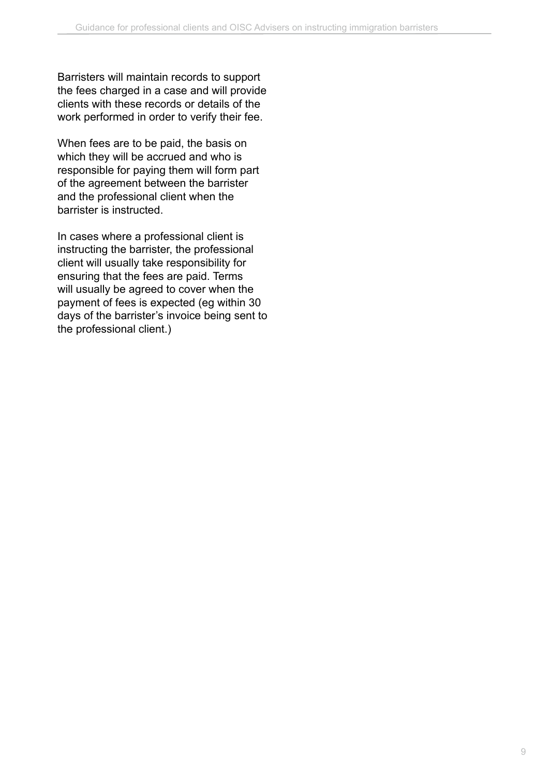Barristers will maintain records to support the fees charged in a case and will provide clients with these records or details of the work performed in order to verify their fee.

When fees are to be paid, the basis on which they will be accrued and who is responsible for paying them will form part of the agreement between the barrister and the professional client when the barrister is instructed.

In cases where a professional client is instructing the barrister, the professional client will usually take responsibility for ensuring that the fees are paid. Terms will usually be agreed to cover when the payment of fees is expected (eg within 30 days of the barrister's invoice being sent to the professional client.)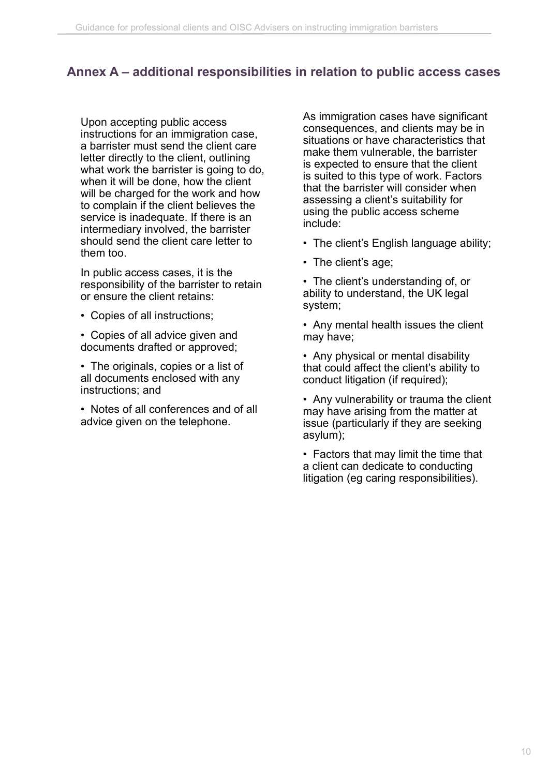## **Annex A – additional responsibilities in relation to public access cases**

Upon accepting public access instructions for an immigration case, a barrister must send the client care letter directly to the client, outlining what work the barrister is going to do, when it will be done, how the client will be charged for the work and how to complain if the client believes the service is inadequate. If there is an intermediary involved, the barrister should send the client care letter to them too.

In public access cases, it is the responsibility of the barrister to retain or ensure the client retains:

- Copies of all instructions;
- Copies of all advice given and documents drafted or approved;
- The originals, copies or a list of all documents enclosed with any instructions; and
- Notes of all conferences and of all advice given on the telephone.

As immigration cases have significant consequences, and clients may be in situations or have characteristics that make them vulnerable, the barrister is expected to ensure that the client is suited to this type of work. Factors that the barrister will consider when assessing a client's suitability for using the public access scheme include:

- The client's English language ability;
- The client's age;
- The client's understanding of, or ability to understand, the UK legal system;
- Any mental health issues the client may have;
- Any physical or mental disability that could affect the client's ability to conduct litigation (if required);
- Any vulnerability or trauma the client may have arising from the matter at issue (particularly if they are seeking asylum);

• Factors that may limit the time that a client can dedicate to conducting litigation (eg caring responsibilities).